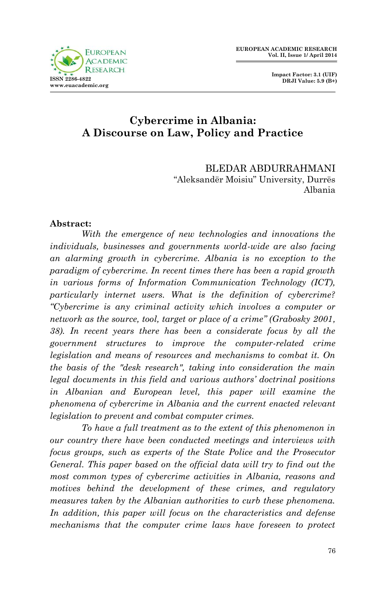**Impact Factor: 3.1 (UIF) DRJI Value: 5.9 (B+)**

# **Cybercrime in Albania: A Discourse on Law, Policy and Practice**

BLEDAR ABDURRAHMANI "Aleksandër Moisiu" University, Durrës Albania

#### **Abstract:**

*With the emergence of new technologies and innovations the individuals, businesses and governments world-wide are also facing an alarming growth in cybercrime. Albania is no exception to the paradigm of cybercrime. In recent times there has been a rapid growth in various forms of Information Communication Technology (ICT), particularly internet users. What is the definition of cybercrime? "Cybercrime is any criminal activity which involves a computer or network as the source, tool, target or place of a crime" (Grabosky 2001, 38). In recent years there has been a considerate focus by all the government structures to improve the computer-related crime legislation and means of resources and mechanisms to combat it. On the basis of the "desk research", taking into consideration the main legal documents in this field and various authors' doctrinal positions in Albanian and European level, this paper will examine the phenomena of cybercrime in Albania and the current enacted relevant legislation to prevent and combat computer crimes.* 

*To have a full treatment as to the extent of this phenomenon in our country there have been conducted meetings and interviews with focus groups, such as experts of the State Police and the Prosecutor General. This paper based on the official data will try to find out the most common types of cybercrime activities in Albania, reasons and motives behind the development of these crimes, and regulatory measures taken by the Albanian authorities to curb these phenomena. In addition, this paper will focus on the characteristics and defense mechanisms that the computer crime laws have foreseen to protect*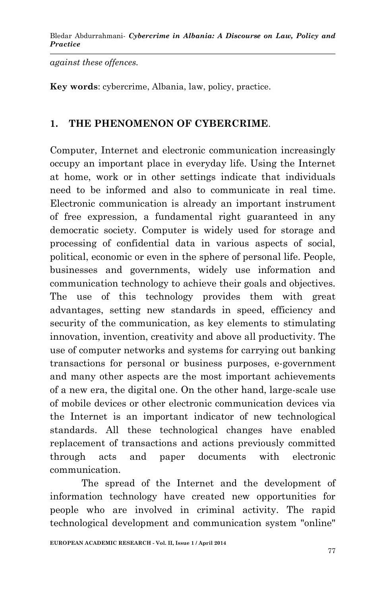*against these offences.* 

**Key words**: cybercrime, Albania, law, policy, practice.

#### **1. THE PHENOMENON OF CYBERCRIME**.

Computer, Internet and electronic communication increasingly occupy an important place in everyday life. Using the Internet at home, work or in other settings indicate that individuals need to be informed and also to communicate in real time. Electronic communication is already an important instrument of free expression, a fundamental right guaranteed in any democratic society. Computer is widely used for storage and processing of confidential data in various aspects of social, political, economic or even in the sphere of personal life. People, businesses and governments, widely use information and communication technology to achieve their goals and objectives. The use of this technology provides them with great advantages, setting new standards in speed, efficiency and security of the communication, as key elements to stimulating innovation, invention, creativity and above all productivity. The use of computer networks and systems for carrying out banking transactions for personal or business purposes, e-government and many other aspects are the most important achievements of a new era, the digital one. On the other hand, large-scale use of mobile devices or other electronic communication devices via the Internet is an important indicator of new technological standards. All these technological changes have enabled replacement of transactions and actions previously committed through acts and paper documents with electronic communication.

The spread of the Internet and the development of information technology have created new opportunities for people who are involved in criminal activity. The rapid technological development and communication system "online"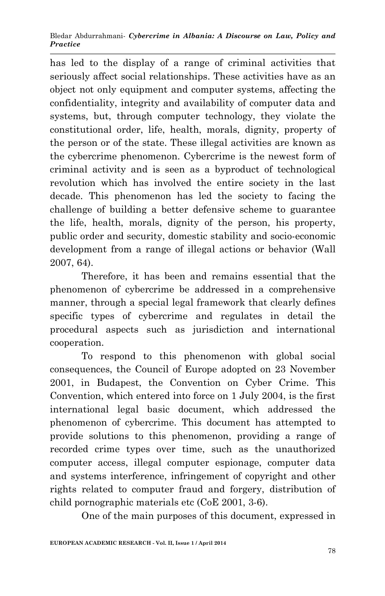has led to the display of a range of criminal activities that seriously affect social relationships. These activities have as an object not only equipment and computer systems, affecting the confidentiality, integrity and availability of computer data and systems, but, through computer technology, they violate the constitutional order, life, health, morals, dignity, property of the person or of the state. These illegal activities are known as the cybercrime phenomenon. Cybercrime is the newest form of criminal activity and is seen as a byproduct of technological revolution which has involved the entire society in the last decade. This phenomenon has led the society to facing the challenge of building a better defensive scheme to guarantee the life, health, morals, dignity of the person, his property, public order and security, domestic stability and socio-economic development from a range of illegal actions or behavior (Wall 2007, 64).

Therefore, it has been and remains essential that the phenomenon of cybercrime be addressed in a comprehensive manner, through a special legal framework that clearly defines specific types of cybercrime and regulates in detail the procedural aspects such as jurisdiction and international cooperation.

To respond to this phenomenon with global social consequences, the Council of Europe adopted on 23 November 2001, in Budapest, the Convention on Cyber Crime. This Convention, which entered into force on 1 July 2004, is the first international legal basic document, which addressed the phenomenon of cybercrime. This document has attempted to provide solutions to this phenomenon, providing a range of recorded crime types over time, such as the unauthorized computer access, illegal computer espionage, computer data and systems interference, infringement of copyright and other rights related to computer fraud and forgery, distribution of child pornographic materials etc (CoE 2001, 3-6).

One of the main purposes of this document, expressed in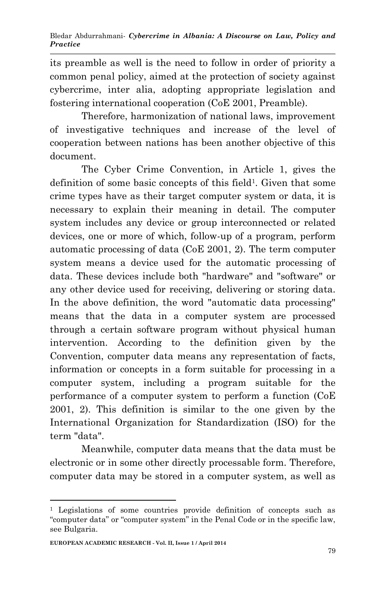its preamble as well is the need to follow in order of priority a common penal policy, aimed at the protection of society against cybercrime, inter alia, adopting appropriate legislation and fostering international cooperation (CoE 2001, Preamble).

Therefore, harmonization of national laws, improvement of investigative techniques and increase of the level of cooperation between nations has been another objective of this document.

The Cyber Crime Convention, in Article 1, gives the definition of some basic concepts of this field<sup>1</sup>. Given that some crime types have as their target computer system or data, it is necessary to explain their meaning in detail. The computer system includes any device or group interconnected or related devices, one or more of which, follow-up of a program, perform automatic processing of data (CoE 2001, 2). The term computer system means a device used for the automatic processing of data. These devices include both "hardware" and "software" or any other device used for receiving, delivering or storing data. In the above definition, the word "automatic data processing" means that the data in a computer system are processed through a certain software program without physical human intervention. According to the definition given by the Convention, computer data means any representation of facts, information or concepts in a form suitable for processing in a computer system, including a program suitable for the performance of a computer system to perform a function (CoE 2001, 2). This definition is similar to the one given by the International Organization for Standardization (ISO) for the term "data".

Meanwhile, computer data means that the data must be electronic or in some other directly processable form. Therefore, computer data may be stored in a computer system, as well as

1

<sup>1</sup> Legislations of some countries provide definition of concepts such as "computer data" or "computer system" in the Penal Code or in the specific law, see Bulgaria.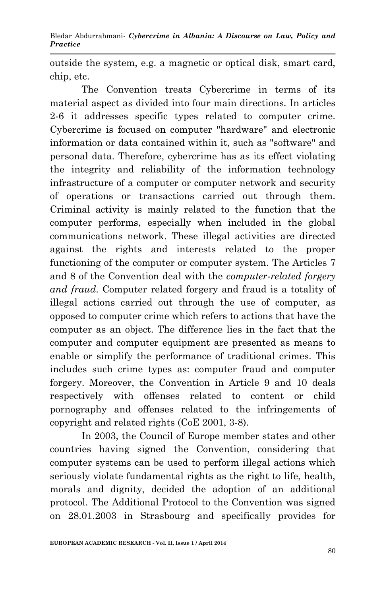outside the system, e.g. a magnetic or optical disk, smart card, chip, etc.

The Convention treats Cybercrime in terms of its material aspect as divided into four main directions. In articles 2-6 it addresses specific types related to computer crime. Cybercrime is focused on computer "hardware" and electronic information or data contained within it, such as "software" and personal data. Therefore, cybercrime has as its effect violating the integrity and reliability of the information technology infrastructure of a computer or computer network and security of operations or transactions carried out through them. Criminal activity is mainly related to the function that the computer performs, especially when included in the global communications network. These illegal activities are directed against the rights and interests related to the proper functioning of the computer or computer system. The Articles 7 and 8 of the Convention deal with the *computer-related forgery and fraud*. Computer related forgery and fraud is a totality of illegal actions carried out through the use of computer, as opposed to computer crime which refers to actions that have the computer as an object. The difference lies in the fact that the computer and computer equipment are presented as means to enable or simplify the performance of traditional crimes. This includes such crime types as: computer fraud and computer forgery. Moreover, the Convention in Article 9 and 10 deals respectively with offenses related to content or child pornography and offenses related to the infringements of copyright and related rights (CoE 2001, 3-8).

In 2003, the Council of Europe member states and other countries having signed the Convention, considering that computer systems can be used to perform illegal actions which seriously violate fundamental rights as the right to life, health, morals and dignity, decided the adoption of an additional protocol. The Additional Protocol to the Convention was signed on 28.01.2003 in Strasbourg and specifically provides for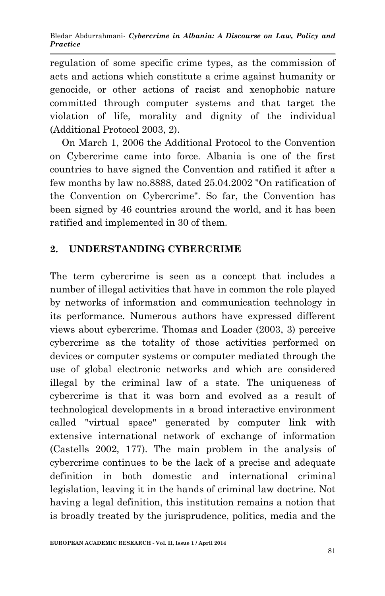regulation of some specific crime types, as the commission of acts and actions which constitute a crime against humanity or genocide, or other actions of racist and xenophobic nature committed through computer systems and that target the violation of life, morality and dignity of the individual (Additional Protocol 2003, 2).

On March 1, 2006 the Additional Protocol to the Convention on Cybercrime came into force. Albania is one of the first countries to have signed the Convention and ratified it after a few months by law no.8888, dated 25.04.2002 "On ratification of the Convention on Cybercrime". So far, the Convention has been signed by 46 countries around the world, and it has been ratified and implemented in 30 of them.

# **2. UNDERSTANDING CYBERCRIME**

The term cybercrime is seen as a concept that includes a number of illegal activities that have in common the role played by networks of information and communication technology in its performance. Numerous authors have expressed different views about cybercrime. Thomas and Loader (2003, 3) perceive cybercrime as the totality of those activities performed on devices or computer systems or computer mediated through the use of global electronic networks and which are considered illegal by the criminal law of a state. The uniqueness of cybercrime is that it was born and evolved as a result of technological developments in a broad interactive environment called "virtual space" generated by computer link with extensive international network of exchange of information (Castells 2002, 177). The main problem in the analysis of cybercrime continues to be the lack of a precise and adequate definition in both domestic and international criminal legislation, leaving it in the hands of criminal law doctrine. Not having a legal definition, this institution remains a notion that is broadly treated by the jurisprudence, politics, media and the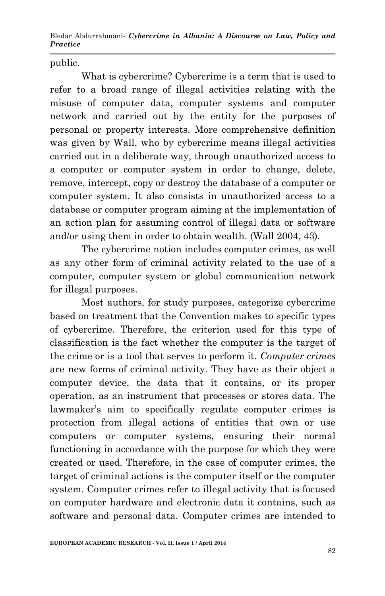public.

What is cybercrime? Cybercrime is a term that is used to refer to a broad range of illegal activities relating with the misuse of computer data, computer systems and computer network and carried out by the entity for the purposes of personal or property interests. More comprehensive definition was given by Wall, who by cybercrime means illegal activities carried out in a deliberate way, through unauthorized access to a computer or computer system in order to change, delete, remove, intercept, copy or destroy the database of a computer or computer system. It also consists in unauthorized access to a database or computer program aiming at the implementation of an action plan for assuming control of illegal data or software and/or using them in order to obtain wealth. (Wall 2004, 43).

The cybercrime notion includes computer crimes, as well as any other form of criminal activity related to the use of a computer, computer system or global communication network for illegal purposes.

Most authors, for study purposes, categorize cybercrime based on treatment that the Convention makes to specific types of cybercrime. Therefore, the criterion used for this type of classification is the fact whether the computer is the target of the crime or is a tool that serves to perform it. *Computer crimes* are new forms of criminal activity. They have as their object a computer device, the data that it contains, or its proper operation, as an instrument that processes or stores data. The lawmaker's aim to specifically regulate computer crimes is protection from illegal actions of entities that own or use computers or computer systems, ensuring their normal functioning in accordance with the purpose for which they were created or used. Therefore, in the case of computer crimes, the target of criminal actions is the computer itself or the computer system. Computer crimes refer to illegal activity that is focused on computer hardware and electronic data it contains, such as software and personal data. Computer crimes are intended to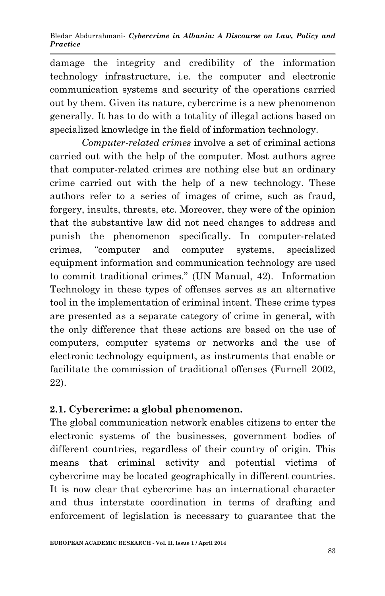damage the integrity and credibility of the information technology infrastructure, i.e. the computer and electronic communication systems and security of the operations carried out by them. Given its nature, cybercrime is a new phenomenon generally. It has to do with a totality of illegal actions based on specialized knowledge in the field of information technology.

*Computer-related crimes* involve a set of criminal actions carried out with the help of the computer. Most authors agree that computer-related crimes are nothing else but an ordinary crime carried out with the help of a new technology. These authors refer to a series of images of crime, such as fraud, forgery, insults, threats, etc. Moreover, they were of the opinion that the substantive law did not need changes to address and punish the phenomenon specifically. In computer-related crimes, "computer and computer systems, specialized equipment information and communication technology are used to commit traditional crimes." (UN Manual, 42). Information Technology in these types of offenses serves as an alternative tool in the implementation of criminal intent. These crime types are presented as a separate category of crime in general, with the only difference that these actions are based on the use of computers, computer systems or networks and the use of electronic technology equipment, as instruments that enable or facilitate the commission of traditional offenses (Furnell 2002, 22).

# **2.1. Cybercrime: a global phenomenon.**

The global communication network enables citizens to enter the electronic systems of the businesses, government bodies of different countries, regardless of their country of origin. This means that criminal activity and potential victims of cybercrime may be located geographically in different countries. It is now clear that cybercrime has an international character and thus interstate coordination in terms of drafting and enforcement of legislation is necessary to guarantee that the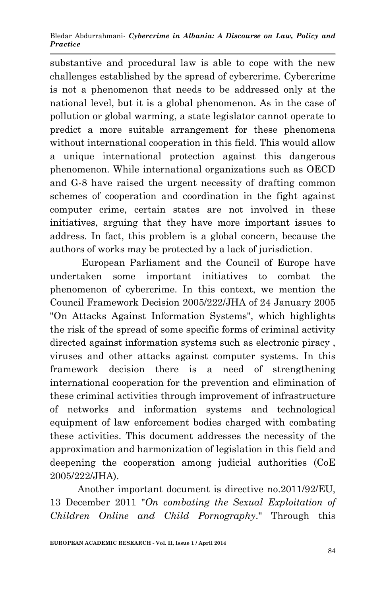substantive and procedural law is able to cope with the new challenges established by the spread of cybercrime. Cybercrime is not a phenomenon that needs to be addressed only at the national level, but it is a global phenomenon. As in the case of pollution or global warming, a state legislator cannot operate to predict a more suitable arrangement for these phenomena without international cooperation in this field. This would allow a unique international protection against this dangerous phenomenon. While international organizations such as OECD and G-8 have raised the urgent necessity of drafting common schemes of cooperation and coordination in the fight against computer crime, certain states are not involved in these initiatives, arguing that they have more important issues to address. In fact, this problem is a global concern, because the authors of works may be protected by a lack of jurisdiction.

European Parliament and the Council of Europe have undertaken some important initiatives to combat the phenomenon of cybercrime. In this context, we mention the Council Framework Decision 2005/222/JHA of 24 January 2005 "On Attacks Against Information Systems", which highlights the risk of the spread of some specific forms of criminal activity directed against information systems such as electronic piracy , viruses and other attacks against computer systems. In this framework decision there is a need of strengthening international cooperation for the prevention and elimination of these criminal activities through improvement of infrastructure of networks and information systems and technological equipment of law enforcement bodies charged with combating these activities. This document addresses the necessity of the approximation and harmonization of legislation in this field and deepening the cooperation among judicial authorities (CoE 2005/222/JHA).

Another important document is directive no.2011/92/EU, 13 December 2011 "*On combating the Sexual Exploitation of Children Online and Child Pornography*." Through this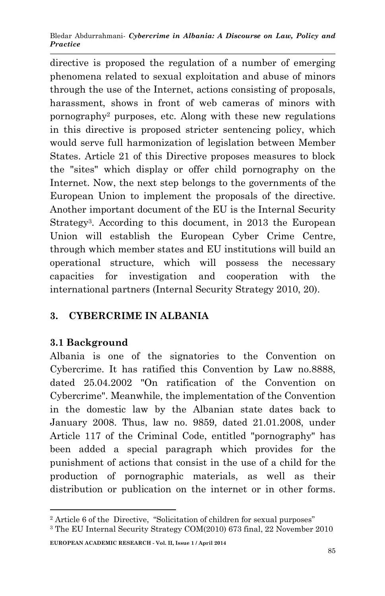directive is proposed the regulation of a number of emerging phenomena related to sexual exploitation and abuse of minors through the use of the Internet, actions consisting of proposals, harassment, shows in front of web cameras of minors with pornography<sup>2</sup> purposes, etc. Along with these new regulations in this directive is proposed stricter sentencing policy, which would serve full harmonization of legislation between Member States. Article 21 of this Directive proposes measures to block the "sites" which display or offer child pornography on the Internet. Now, the next step belongs to the governments of the European Union to implement the proposals of the directive. Another important document of the EU is the Internal Security Strategy<sup>3</sup> . According to this document, in 2013 the European Union will establish the European Cyber Crime Centre, through which member states and EU institutions will build an operational structure, which will possess the necessary capacities for investigation and cooperation with the international partners (Internal Security Strategy 2010, 20).

## **3. CYBERCRIME IN ALBANIA**

## **3.1 Background**

1

Albania is one of the signatories to the Convention on Cybercrime. It has ratified this Convention by Law no.8888, dated 25.04.2002 "On ratification of the Convention on Cybercrime". Meanwhile, the implementation of the Convention in the domestic law by the Albanian state dates back to January 2008. Thus, law no. 9859, dated 21.01.2008, under Article 117 of the Criminal Code, entitled "pornography" has been added a special paragraph which provides for the punishment of actions that consist in the use of a child for the production of pornographic materials, as well as their distribution or publication on the internet or in other forms.

**EUROPEAN ACADEMIC RESEARCH - Vol. II, Issue 1 / April 2014**

<sup>&</sup>lt;sup>2</sup> Article 6 of the Directive, "Solicitation of children for sexual purposes"

<sup>3</sup> The EU Internal Security Strategy COM(2010) 673 final, 22 November 2010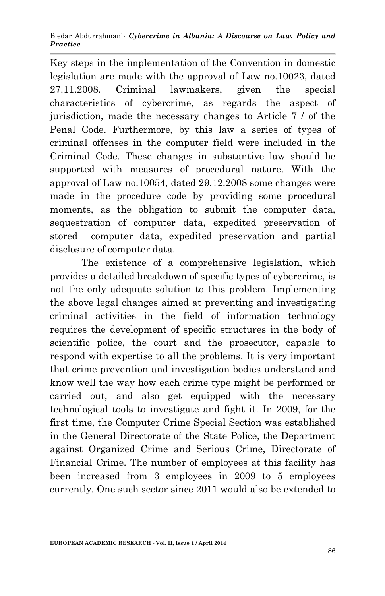Key steps in the implementation of the Convention in domestic legislation are made with the approval of Law no.10023, dated 27.11.2008. Criminal lawmakers, given the special characteristics of cybercrime, as regards the aspect of jurisdiction, made the necessary changes to Article 7 / of the Penal Code. Furthermore, by this law a series of types of criminal offenses in the computer field were included in the Criminal Code. These changes in substantive law should be supported with measures of procedural nature. With the approval of Law no.10054, dated 29.12.2008 some changes were made in the procedure code by providing some procedural moments, as the obligation to submit the computer data, sequestration of computer data, expedited preservation of stored computer data, expedited preservation and partial disclosure of computer data.

The existence of a comprehensive legislation, which provides a detailed breakdown of specific types of cybercrime, is not the only adequate solution to this problem. Implementing the above legal changes aimed at preventing and investigating criminal activities in the field of information technology requires the development of specific structures in the body of scientific police, the court and the prosecutor, capable to respond with expertise to all the problems. It is very important that crime prevention and investigation bodies understand and know well the way how each crime type might be performed or carried out, and also get equipped with the necessary technological tools to investigate and fight it. In 2009, for the first time, the Computer Crime Special Section was established in the General Directorate of the State Police, the Department against Organized Crime and Serious Crime, Directorate of Financial Crime. The number of employees at this facility has been increased from 3 employees in 2009 to 5 employees currently. One such sector since 2011 would also be extended to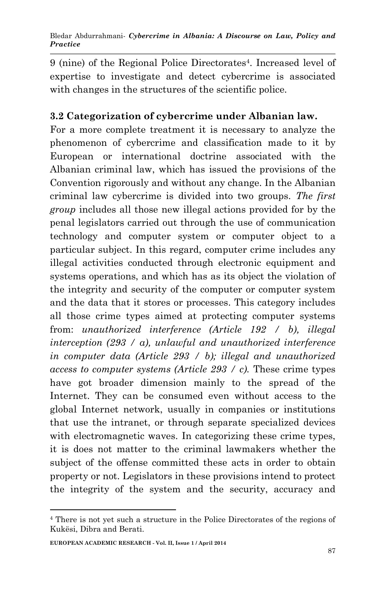9 (nine) of the Regional Police Directorates<sup>4</sup>. Increased level of expertise to investigate and detect cybercrime is associated with changes in the structures of the scientific police.

## **3.2 Categorization of cybercrime under Albanian law.**

For a more complete treatment it is necessary to analyze the phenomenon of cybercrime and classification made to it by European or international doctrine associated with the Albanian criminal law, which has issued the provisions of the Convention rigorously and without any change. In the Albanian criminal law cybercrime is divided into two groups. *The first group* includes all those new illegal actions provided for by the penal legislators carried out through the use of communication technology and computer system or computer object to a particular subject. In this regard, computer crime includes any illegal activities conducted through electronic equipment and systems operations, and which has as its object the violation of the integrity and security of the computer or computer system and the data that it stores or processes. This category includes all those crime types aimed at protecting computer systems from: *unauthorized interference (Article 192 / b), illegal interception (293 / a), unlawful and unauthorized interference in computer data (Article 293 / b); illegal and unauthorized access to computer systems (Article 293 / c).* These crime types have got broader dimension mainly to the spread of the Internet. They can be consumed even without access to the global Internet network, usually in companies or institutions that use the intranet, or through separate specialized devices with electromagnetic waves. In categorizing these crime types, it is does not matter to the criminal lawmakers whether the subject of the offense committed these acts in order to obtain property or not. Legislators in these provisions intend to protect the integrity of the system and the security, accuracy and

1

<sup>4</sup> There is not yet such a structure in the Police Directorates of the regions of Kukësi, Dibra and Berati.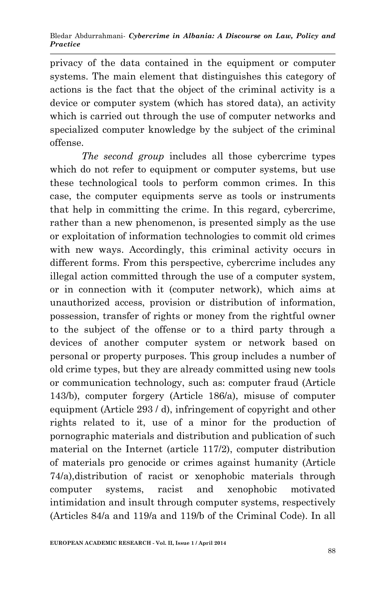privacy of the data contained in the equipment or computer systems. The main element that distinguishes this category of actions is the fact that the object of the criminal activity is a device or computer system (which has stored data), an activity which is carried out through the use of computer networks and specialized computer knowledge by the subject of the criminal offense.

*The second group* includes all those cybercrime types which do not refer to equipment or computer systems, but use these technological tools to perform common crimes. In this case, the computer equipments serve as tools or instruments that help in committing the crime. In this regard, cybercrime, rather than a new phenomenon, is presented simply as the use or exploitation of information technologies to commit old crimes with new ways. Accordingly, this criminal activity occurs in different forms. From this perspective, cybercrime includes any illegal action committed through the use of a computer system, or in connection with it (computer network), which aims at unauthorized access, provision or distribution of information, possession, transfer of rights or money from the rightful owner to the subject of the offense or to a third party through a devices of another computer system or network based on personal or property purposes. This group includes a number of old crime types, but they are already committed using new tools or communication technology, such as: computer fraud (Article 143/b), computer forgery (Article 186/a), misuse of computer equipment (Article 293 / d), infringement of copyright and other rights related to it, use of a minor for the production of pornographic materials and distribution and publication of such material on the Internet (article 117/2), computer distribution of materials pro genocide or crimes against humanity (Article 74/a),distribution of racist or xenophobic materials through computer systems, racist and xenophobic motivated intimidation and insult through computer systems, respectively (Articles 84/a and 119/a and 119/b of the Criminal Code). In all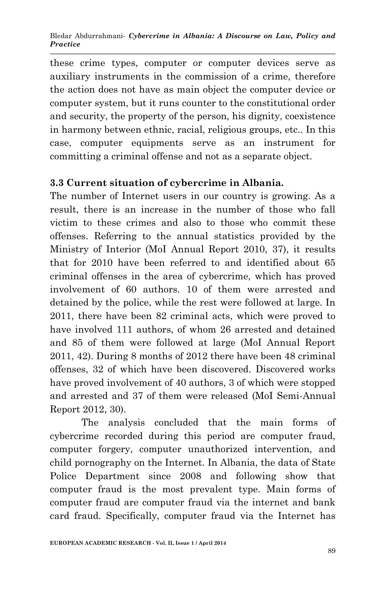these crime types, computer or computer devices serve as auxiliary instruments in the commission of a crime, therefore the action does not have as main object the computer device or computer system, but it runs counter to the constitutional order and security, the property of the person, his dignity, coexistence in harmony between ethnic, racial, religious groups, etc.. In this case, computer equipments serve as an instrument for committing a criminal offense and not as a separate object.

## **3.3 Current situation of cybercrime in Albania.**

The number of Internet users in our country is growing. As a result, there is an increase in the number of those who fall victim to these crimes and also to those who commit these offenses. Referring to the annual statistics provided by the Ministry of Interior (MoI Annual Report 2010, 37), it results that for 2010 have been referred to and identified about 65 criminal offenses in the area of cybercrime, which has proved involvement of 60 authors. 10 of them were arrested and detained by the police, while the rest were followed at large. In 2011, there have been 82 criminal acts, which were proved to have involved 111 authors, of whom 26 arrested and detained and 85 of them were followed at large (MoI Annual Report 2011, 42). During 8 months of 2012 there have been 48 criminal offenses, 32 of which have been discovered. Discovered works have proved involvement of 40 authors, 3 of which were stopped and arrested and 37 of them were released (MoI Semi-Annual Report 2012, 30).

The analysis concluded that the main forms of cybercrime recorded during this period are computer fraud, computer forgery, computer unauthorized intervention, and child pornography on the Internet. In Albania, the data of State Police Department since 2008 and following show that computer fraud is the most prevalent type. Main forms of computer fraud are computer fraud via the internet and bank card fraud. Specifically, computer fraud via the Internet has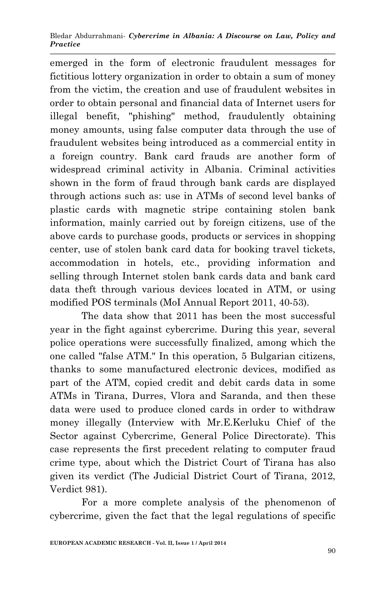emerged in the form of electronic fraudulent messages for fictitious lottery organization in order to obtain a sum of money from the victim, the creation and use of fraudulent websites in order to obtain personal and financial data of Internet users for illegal benefit, "phishing" method, fraudulently obtaining money amounts, using false computer data through the use of fraudulent websites being introduced as a commercial entity in a foreign country. Bank card frauds are another form of widespread criminal activity in Albania. Criminal activities shown in the form of fraud through bank cards are displayed through actions such as: use in ATMs of second level banks of plastic cards with magnetic stripe containing stolen bank information, mainly carried out by foreign citizens, use of the above cards to purchase goods, products or services in shopping center, use of stolen bank card data for booking travel tickets, accommodation in hotels, etc., providing information and selling through Internet stolen bank cards data and bank card data theft through various devices located in ATM, or using modified POS terminals (MoI Annual Report 2011, 40-53).

The data show that 2011 has been the most successful year in the fight against cybercrime. During this year, several police operations were successfully finalized, among which the one called "false ATM." In this operation, 5 Bulgarian citizens, thanks to some manufactured electronic devices, modified as part of the ATM, copied credit and debit cards data in some ATMs in Tirana, Durres, Vlora and Saranda, and then these data were used to produce cloned cards in order to withdraw money illegally (Interview with Mr.E.Kerluku Chief of the Sector against Cybercrime, General Police Directorate). This case represents the first precedent relating to computer fraud crime type, about which the District Court of Tirana has also given its verdict (The Judicial District Court of Tirana, 2012, Verdict 981).

For a more complete analysis of the phenomenon of cybercrime, given the fact that the legal regulations of specific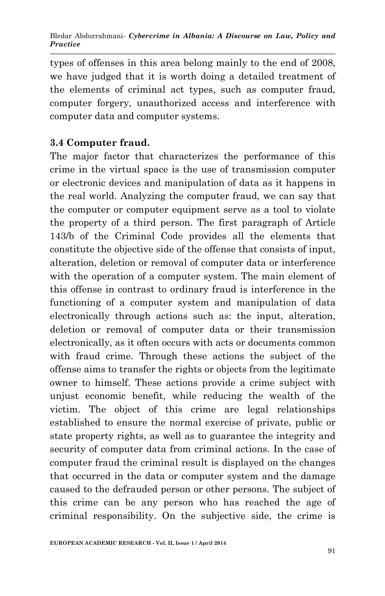types of offenses in this area belong mainly to the end of 2008, we have judged that it is worth doing a detailed treatment of the elements of criminal act types, such as computer fraud, computer forgery, unauthorized access and interference with computer data and computer systems.

### **3.4 Computer fraud.**

The major factor that characterizes the performance of this crime in the virtual space is the use of transmission computer or electronic devices and manipulation of data as it happens in the real world. Analyzing the computer fraud, we can say that the computer or computer equipment serve as a tool to violate the property of a third person. The first paragraph of Article 143/b of the Criminal Code provides all the elements that constitute the objective side of the offense that consists of input, alteration, deletion or removal of computer data or interference with the operation of a computer system. The main element of this offense in contrast to ordinary fraud is interference in the functioning of a computer system and manipulation of data electronically through actions such as: the input, alteration, deletion or removal of computer data or their transmission electronically, as it often occurs with acts or documents common with fraud crime. Through these actions the subject of the offense aims to transfer the rights or objects from the legitimate owner to himself. These actions provide a crime subject with unjust economic benefit, while reducing the wealth of the victim. The object of this crime are legal relationships established to ensure the normal exercise of private, public or state property rights, as well as to guarantee the integrity and security of computer data from criminal actions. In the case of computer fraud the criminal result is displayed on the changes that occurred in the data or computer system and the damage caused to the defrauded person or other persons. The subject of this crime can be any person who has reached the age of criminal responsibility. On the subjective side, the crime is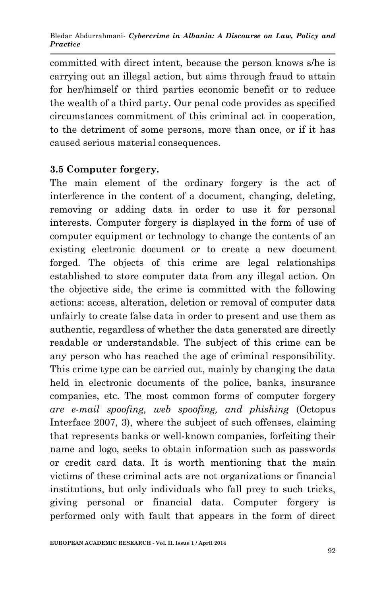committed with direct intent, because the person knows s/he is carrying out an illegal action, but aims through fraud to attain for her/himself or third parties economic benefit or to reduce the wealth of a third party. Our penal code provides as specified circumstances commitment of this criminal act in cooperation, to the detriment of some persons, more than once, or if it has caused serious material consequences.

## **3.5 Computer forgery.**

The main element of the ordinary forgery is the act of interference in the content of a document, changing, deleting, removing or adding data in order to use it for personal interests. Computer forgery is displayed in the form of use of computer equipment or technology to change the contents of an existing electronic document or to create a new document forged. The objects of this crime are legal relationships established to store computer data from any illegal action. On the objective side, the crime is committed with the following actions: access, alteration, deletion or removal of computer data unfairly to create false data in order to present and use them as authentic, regardless of whether the data generated are directly readable or understandable. The subject of this crime can be any person who has reached the age of criminal responsibility. This crime type can be carried out, mainly by changing the data held in electronic documents of the police, banks, insurance companies, etc. The most common forms of computer forgery *are e-mail spoofing, web spoofing, and phishing* (Octopus Interface 2007, 3), where the subject of such offenses, claiming that represents banks or well-known companies, forfeiting their name and logo, seeks to obtain information such as passwords or credit card data. It is worth mentioning that the main victims of these criminal acts are not organizations or financial institutions, but only individuals who fall prey to such tricks, giving personal or financial data. Computer forgery is performed only with fault that appears in the form of direct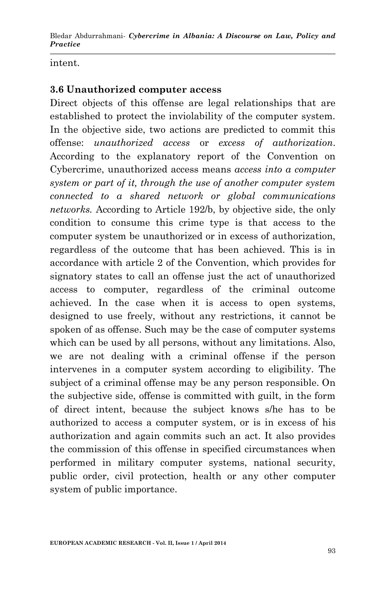intent.

#### **3.6 Unauthorized computer access**

Direct objects of this offense are legal relationships that are established to protect the inviolability of the computer system. In the objective side, two actions are predicted to commit this offense: *unauthorized access* or *excess of authorization*. According to the explanatory report of the Convention on Cybercrime, unauthorized access means *access into a computer system or part of it, through the use of another computer system connected to a shared network or global communications networks.* According to Article 192/b, by objective side, the only condition to consume this crime type is that access to the computer system be unauthorized or in excess of authorization, regardless of the outcome that has been achieved. This is in accordance with article 2 of the Convention, which provides for signatory states to call an offense just the act of unauthorized access to computer, regardless of the criminal outcome achieved. In the case when it is access to open systems, designed to use freely, without any restrictions, it cannot be spoken of as offense. Such may be the case of computer systems which can be used by all persons, without any limitations. Also, we are not dealing with a criminal offense if the person intervenes in a computer system according to eligibility. The subject of a criminal offense may be any person responsible. On the subjective side, offense is committed with guilt, in the form of direct intent, because the subject knows s/he has to be authorized to access a computer system, or is in excess of his authorization and again commits such an act. It also provides the commission of this offense in specified circumstances when performed in military computer systems, national security, public order, civil protection, health or any other computer system of public importance.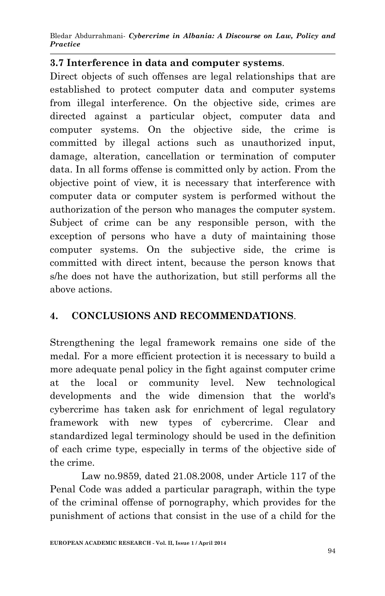### **3.7 Interference in data and computer systems**.

Direct objects of such offenses are legal relationships that are established to protect computer data and computer systems from illegal interference. On the objective side, crimes are directed against a particular object, computer data and computer systems. On the objective side, the crime is committed by illegal actions such as unauthorized input, damage, alteration, cancellation or termination of computer data. In all forms offense is committed only by action. From the objective point of view, it is necessary that interference with computer data or computer system is performed without the authorization of the person who manages the computer system. Subject of crime can be any responsible person, with the exception of persons who have a duty of maintaining those computer systems. On the subjective side, the crime is committed with direct intent, because the person knows that s/he does not have the authorization, but still performs all the above actions.

### **4. CONCLUSIONS AND RECOMMENDATIONS**.

Strengthening the legal framework remains one side of the medal. For a more efficient protection it is necessary to build a more adequate penal policy in the fight against computer crime at the local or community level. New technological developments and the wide dimension that the world's cybercrime has taken ask for enrichment of legal regulatory framework with new types of cybercrime. Clear and standardized legal terminology should be used in the definition of each crime type, especially in terms of the objective side of the crime.

Law no.9859, dated 21.08.2008, under Article 117 of the Penal Code was added a particular paragraph, within the type of the criminal offense of pornography, which provides for the punishment of actions that consist in the use of a child for the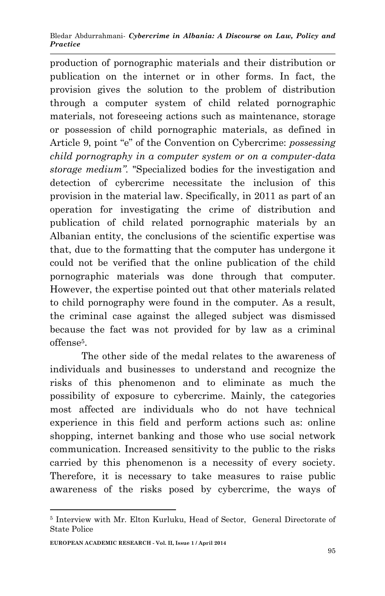production of pornographic materials and their distribution or publication on the internet or in other forms. In fact, the provision gives the solution to the problem of distribution through a computer system of child related pornographic materials, not foreseeing actions such as maintenance, storage or possession of child pornographic materials, as defined in Article 9, point "e" of the Convention on Cybercrime: *possessing child pornography in a computer system or on a computer-data storage medium".* "Specialized bodies for the investigation and detection of cybercrime necessitate the inclusion of this provision in the material law. Specifically, in 2011 as part of an operation for investigating the crime of distribution and publication of child related pornographic materials by an Albanian entity, the conclusions of the scientific expertise was that, due to the formatting that the computer has undergone it could not be verified that the online publication of the child pornographic materials was done through that computer. However, the expertise pointed out that other materials related to child pornography were found in the computer. As a result, the criminal case against the alleged subject was dismissed because the fact was not provided for by law as a criminal offense<sup>5</sup>.

The other side of the medal relates to the awareness of individuals and businesses to understand and recognize the risks of this phenomenon and to eliminate as much the possibility of exposure to cybercrime. Mainly, the categories most affected are individuals who do not have technical experience in this field and perform actions such as: online shopping, internet banking and those who use social network communication. Increased sensitivity to the public to the risks carried by this phenomenon is a necessity of every society. Therefore, it is necessary to take measures to raise public awareness of the risks posed by cybercrime, the ways of

1

<sup>5</sup> Interview with Mr. Elton Kurluku, Head of Sector, General Directorate of State Police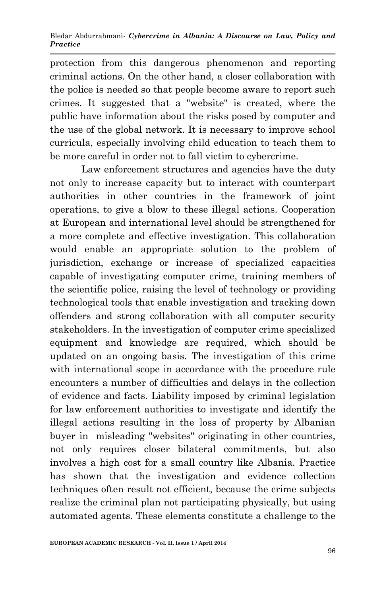protection from this dangerous phenomenon and reporting criminal actions. On the other hand, a closer collaboration with the police is needed so that people become aware to report such crimes. It suggested that a "website" is created, where the public have information about the risks posed by computer and the use of the global network. It is necessary to improve school curricula, especially involving child education to teach them to be more careful in order not to fall victim to cybercrime.

Law enforcement structures and agencies have the duty not only to increase capacity but to interact with counterpart authorities in other countries in the framework of joint operations, to give a blow to these illegal actions. Cooperation at European and international level should be strengthened for a more complete and effective investigation. This collaboration would enable an appropriate solution to the problem of jurisdiction, exchange or increase of specialized capacities capable of investigating computer crime, training members of the scientific police, raising the level of technology or providing technological tools that enable investigation and tracking down offenders and strong collaboration with all computer security stakeholders. In the investigation of computer crime specialized equipment and knowledge are required, which should be updated on an ongoing basis. The investigation of this crime with international scope in accordance with the procedure rule encounters a number of difficulties and delays in the collection of evidence and facts. Liability imposed by criminal legislation for law enforcement authorities to investigate and identify the illegal actions resulting in the loss of property by Albanian buyer in misleading "websites" originating in other countries, not only requires closer bilateral commitments, but also involves a high cost for a small country like Albania. Practice has shown that the investigation and evidence collection techniques often result not efficient, because the crime subjects realize the criminal plan not participating physically, but using automated agents. These elements constitute a challenge to the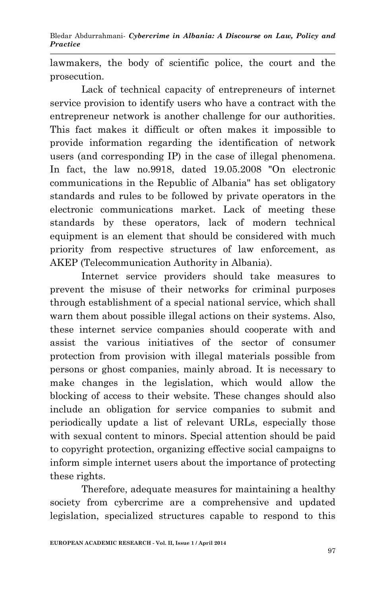lawmakers, the body of scientific police, the court and the prosecution.

Lack of technical capacity of entrepreneurs of internet service provision to identify users who have a contract with the entrepreneur network is another challenge for our authorities. This fact makes it difficult or often makes it impossible to provide information regarding the identification of network users (and corresponding IP) in the case of illegal phenomena. In fact, the law no.9918, dated 19.05.2008 "On electronic communications in the Republic of Albania" has set obligatory standards and rules to be followed by private operators in the electronic communications market. Lack of meeting these standards by these operators, lack of modern technical equipment is an element that should be considered with much priority from respective structures of law enforcement, as AKEP (Telecommunication Authority in Albania).

Internet service providers should take measures to prevent the misuse of their networks for criminal purposes through establishment of a special national service, which shall warn them about possible illegal actions on their systems. Also, these internet service companies should cooperate with and assist the various initiatives of the sector of consumer protection from provision with illegal materials possible from persons or ghost companies, mainly abroad. It is necessary to make changes in the legislation, which would allow the blocking of access to their website. These changes should also include an obligation for service companies to submit and periodically update a list of relevant URLs, especially those with sexual content to minors. Special attention should be paid to copyright protection, organizing effective social campaigns to inform simple internet users about the importance of protecting these rights.

Therefore, adequate measures for maintaining a healthy society from cybercrime are a comprehensive and updated legislation, specialized structures capable to respond to this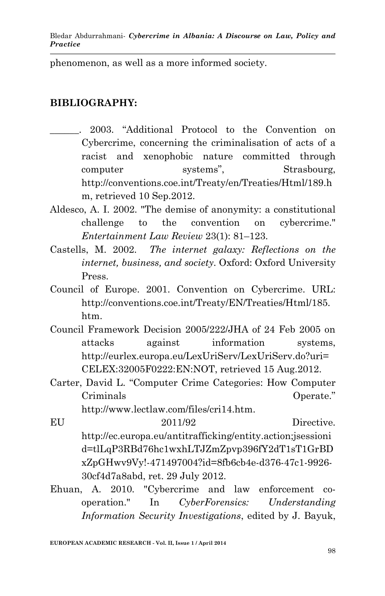phenomenon, as well as a more informed society.

### **BIBLIOGRAPHY:**

- \_\_\_\_\_\_. 2003. "Additional Protocol to the Convention on Cybercrime, concerning the criminalisation of acts of a racist and xenophobic nature committed through computer systems", Strasbourg, http://conventions.coe.int/Treaty/en/Treaties/Html/189.h m, retrieved 10 Sep.2012.
- Aldesco, A. I. 2002. "The demise of anonymity: a constitutional challenge to the convention on cybercrime." *Entertainment Law Review* 23(1): 81–123.
- Castells, M. 2002. *The internet galaxy: Reflections on the internet, business, and society*. Oxford: Oxford University Press.
- Council of Europe. 2001. Convention on Cybercrime. URL: http://conventions.coe.int/Treaty/EN/Treaties/Html/185. htm.
- Council Framework Decision 2005/222/JHA of 24 Feb 2005 on attacks against information systems, http://eurlex.europa.eu/LexUriServ/LexUriServ.do?uri= CELEX:32005F0222:EN:NOT, retrieved 15 Aug.2012.
- Carter, David L. "Computer Crime Categories: How Computer Criminals Operate."

http://www.lectlaw.com/files/cri14.htm.

- EU 2011/92 Directive. http://ec.europa.eu/antitrafficking/entity.action;jsessioni d=tlLqP3RBd76hc1wxhLTJZmZpvp396fY2dT1sT1GrBD xZpGHwv9Vy!-471497004?id=8fb6cb4e-d376-47c1-9926- 30cf4d7a8abd, ret. 29 July 2012.
- Ehuan, A. 2010. "Cybercrime and law enforcement cooperation." In *CyberForensics: Understanding Information Security Investigations*, edited by J. Bayuk,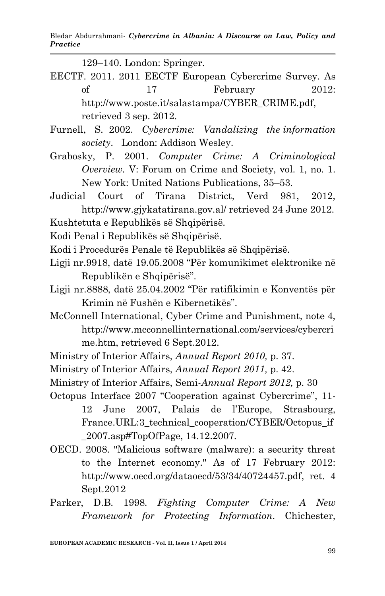129–140. London: Springer.

- EECTF. 2011. 2011 EECTF European Cybercrime Survey. As of 17 February 2012: http://www.poste.it/salastampa/CYBER\_CRIME.pdf, retrieved 3 sep. 2012.
- Furnell, S. 2002. *Cybercrime: Vandalizing the information society*. London: Addison Wesley.
- Grabosky, P. 2001. *Computer Crime: A Criminological Overview.* V: Forum on Crime and Society, vol. 1, no. 1. New York: United Nations Publications, 35–53.
- Judicial Court of Tirana District, Verd 981, 2012, http://www.gjykatatirana.gov.al/ retrieved 24 June 2012.
- Kushtetuta e Republikës së Shqipërisë.
- Kodi Penal i Republikës së Shqipërisë.
- Kodi i Procedurës Penale të Republikës së Shqipërisë.
- Ligji nr.9918, datë 19.05.2008 "Për komunikimet elektronike në Republikën e Shqipërisë".
- Ligji nr.8888, datë 25.04.2002 "Për ratifikimin e Konventës për Krimin në Fushën e Kibernetikës".
- McConnell International, Cyber Crime and Punishment, note 4, http://www.mcconnellinternational.com/services/cybercri me.htm, retrieved 6 Sept.2012.
- Ministry of Interior Affairs, *Annual Report 2010,* p. 37.
- Ministry of Interior Affairs, *Annual Report 2011,* p. 42.
- Ministry of Interior Affairs, Semi-*Annual Report 2012,* p. 30
- Octopus Interface 2007 "Cooperation against Cybercrime", 11- 12 June 2007, Palais de l'Europe, Strasbourg, France.URL:3\_technical\_cooperation/CYBER/Octopus\_if \_2007.asp#TopOfPage, 14.12.2007.
- OECD. 2008. "Malicious software (malware): a security threat to the Internet economy." As of 17 February 2012: http://www.oecd.org/dataoecd/53/34/40724457.pdf, ret. 4 Sept.2012
- Parker, D.B. 1998. *Fighting Computer Crime: A New Framework for Protecting Information*. Chichester,

**EUROPEAN ACADEMIC RESEARCH - Vol. II, Issue 1 / April 2014**